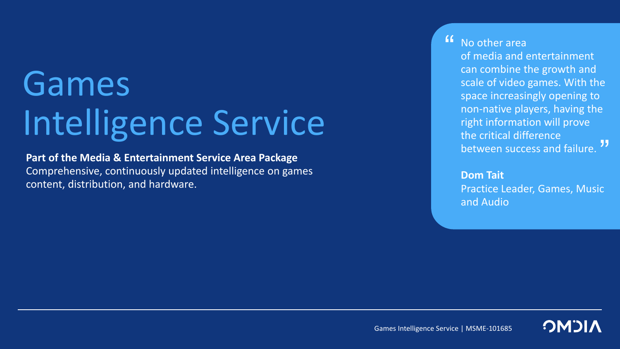# Games Intelligence Service

**Part of the Media & Entertainment Service Area Package** Comprehensive, continuously updated intelligence on games content, distribution, and hardware.

No other area  $\mathbf{G}$ 

> of media and entertainment can combine the growth and scale of video games. With the space increasingly opening to non-native players, having the right information will prove the critical difference between success and failure.<sup>77</sup>

**Dom Tait** Practice Leader, Games, Music and Audio

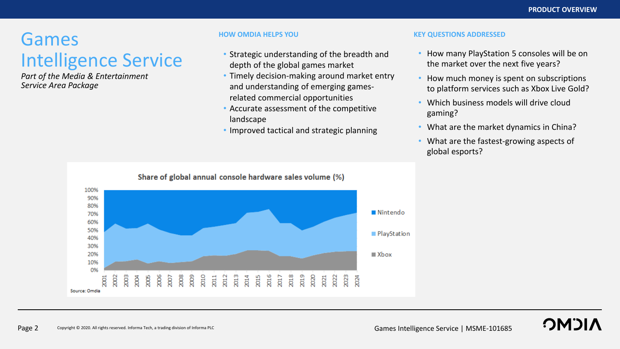## Games Intelligence Service

*Part of the Media & Entertainment Service Area Package*

- Strategic understanding of the breadth and depth of the global games market
- Timely decision-making around market entry and understanding of emerging gamesrelated commercial opportunities
- Accurate assessment of the competitive landscape
- Improved tactical and strategic planning

#### **HOW OMDIA HELPS YOU KEY QUESTIONS ADDRESSED**

- How many PlayStation 5 consoles will be on the market over the next five years?
- How much money is spent on subscriptions to platform services such as Xbox Live Gold?
- Which business models will drive cloud gaming?
- What are the market dynamics in China?
- What are the fastest-growing aspects of global esports?



**OMOL**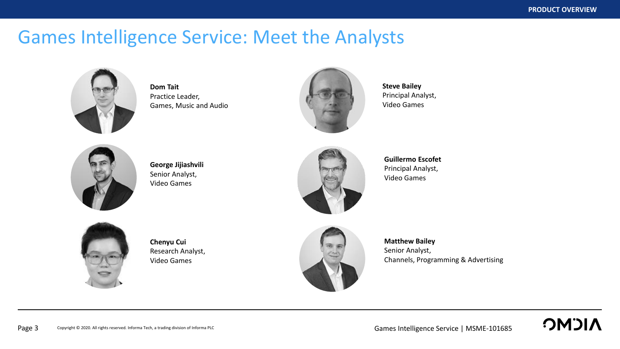**OMDIA** 

### Games Intelligence Service: Meet the Analysts



**Dom Tait** Practice Leader, Games, Music and Audio



**Steve Bailey** Principal Analyst, Video Games



**George Jijiashvili** Senior Analyst, Video Games



**Guillermo Escofet** Principal Analyst, Video Games



**Chenyu Cui** Research Analyst, Video Games



**Matthew Bailey** Senior Analyst, Channels, Programming & Advertising

Copyright © 2020. All rights reserved. Informa Tech, a trading division of Informa PLC Page 3 Copyright © 2020. All rights reserved. Informa Tech, a trading division of Informa PLC **Cames Intelligence Service** | MSME-101685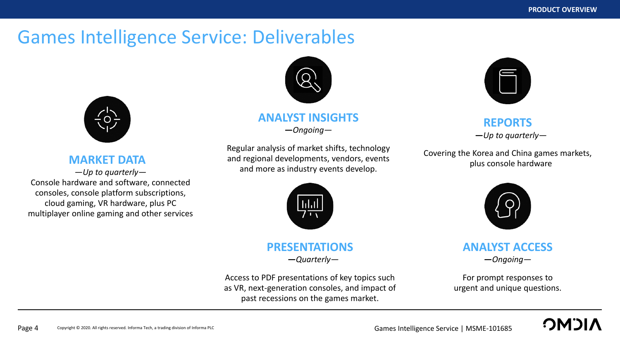### Games Intelligence Service: Deliverables



### **MARKET DATA**

*—Up to quarterly—* Console hardware and software, connected consoles, console platform subscriptions, cloud gaming, VR hardware, plus PC multiplayer online gaming and other services



### **ANALYST INSIGHTS —***Ongoing—*

Regular analysis of market shifts, technology and regional developments, vendors, events and more as industry events develop.



### **PRESENTATIONS**

**—***Quarterly—*

Access to PDF presentations of key topics such as VR, next-generation consoles, and impact of past recessions on the games market.



### **REPORTS —***Up to quarterly—*

Covering the Korea and China games markets, plus console hardware



**ANALYST ACCESS —***Ongoing—*

For prompt responses to urgent and unique questions.

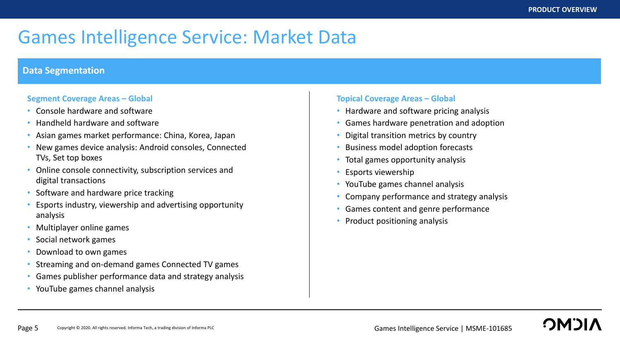## Games Intelligence Service: Market Data

#### **Data Segmentation**

#### **Segment Coverage Areas – Global**

- Console hardware and software
- Handheld hardware and software
- Asian games market performance: China, Korea, Japan
- New games device analysis: Android consoles, Connected TVs, Set top boxes
- Online console connectivity, subscription services and digital transactions
- Software and hardware price tracking
- Esports industry, viewership and advertising opportunity analysis
- Multiplayer online games
- Social network games
- Download to own games
- Streaming and on-demand games Connected TV games
- Games publisher performance data and strategy analysis
- YouTube games channel analysis

#### **Topical Coverage Areas – Global**

- Hardware and software pricing analysis
- Games hardware penetration and adoption
- Digital transition metrics by country
- Business model adoption forecasts
- Total games opportunity analysis
- Esports viewership
- YouTube games channel analysis
- Company performance and strategy analysis
- Games content and genre performance
- Product positioning analysis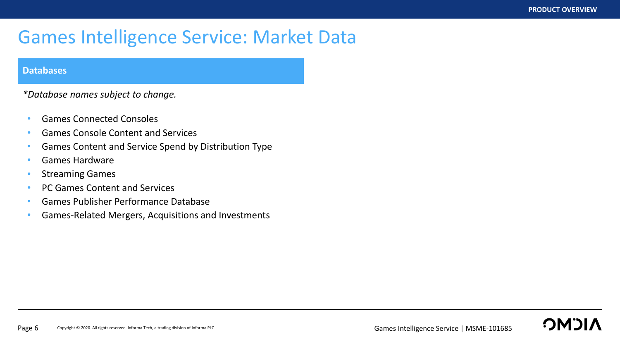**OMDI** 

### Games Intelligence Service: Market Data

#### **Databases**

*\*Database names subject to change.*

- Games Connected Consoles
- Games Console Content and Services
- Games Content and Service Spend by Distribution Type
- Games Hardware
- Streaming Games
- PC Games Content and Services
- Games Publisher Performance Database
- Games-Related Mergers, Acquisitions and Investments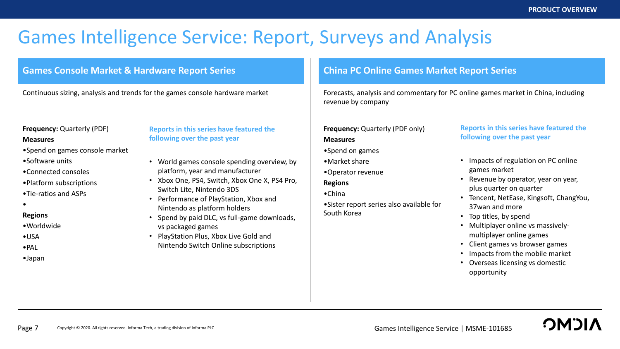## Games Intelligence Service: Report, Surveys and Analysis

#### **Games Console Market & Hardware Report Series China PC Online Games Market Report Series**

#### **Frequency: Quarterly (PDF)**

#### **Measures**

- •Spend on games console market
- •Software units
- •Connected consoles
- •Platform subscriptions
- •Tie-ratios and ASPs
- •

#### **Regions**

- •Worldwide
- •USA
- •PAL
- •Japan

#### **Reports in this series have featured the following over the past year**

- World games console spending overview, by platform, year and manufacturer
- Xbox One, PS4, Switch, Xbox One X, PS4 Pro, Switch Lite, Nintendo 3DS
- Performance of PlayStation, Xbox and Nintendo as platform holders
- Spend by paid DLC, vs full-game downloads, vs packaged games
- PlayStation Plus, Xbox Live Gold and Nintendo Switch Online subscriptions

Continuous sizing, analysis and trends for the games console hardware market Forecasts, analysis and commentary for PC online games market in China, including revenue by company

#### **Frequency:** Quarterly (PDF only) **Measures**

- •Spend on games
- •Market share
- •Operator revenue

#### **Regions**

•China

•Sister report series also available for South Korea

#### **Reports in this series have featured the following over the past year**

- Impacts of regulation on PC online games market
- Revenue by operator, year on year, plus quarter on quarter
- Tencent, NetEase, Kingsoft, ChangYou, 37wan and more
- Top titles, by spend
- Multiplayer online vs massivelymultiplayer online games
- Client games vs browser games
- Impacts from the mobile market
- Overseas licensing vs domestic opportunity

**CMO**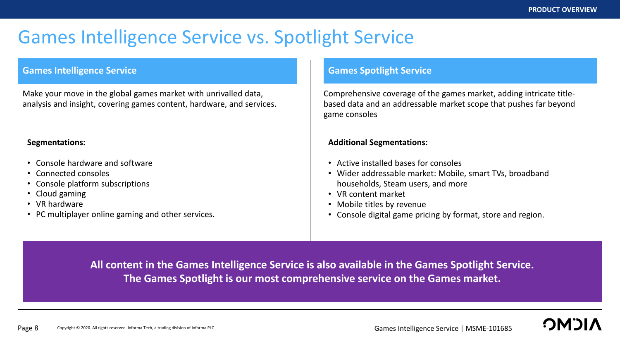## Games Intelligence Service vs. Spotlight Service

#### **Games Intelligence Service Games Spotlight Service**

Make your move in the global games market with unrivalled data, analysis and insight, covering games content, hardware, and services.

#### **Segmentations:**

- Console hardware and software
- Connected consoles
- Console platform subscriptions
- Cloud gaming
- VR hardware
- PC multiplayer online gaming and other services.

Comprehensive coverage of the games market, adding intricate titlebased data and an addressable market scope that pushes far beyond game consoles

#### **Additional Segmentations:**

- Active installed bases for consoles
- Wider addressable market: Mobile, smart TVs, broadband households, Steam users, and more
- VR content market
- Mobile titles by revenue
- Console digital game pricing by format, store and region.

**All content in the Games Intelligence Service is also available in the Games Spotlight Service. The Games Spotlight is our most comprehensive service on the Games market.** 

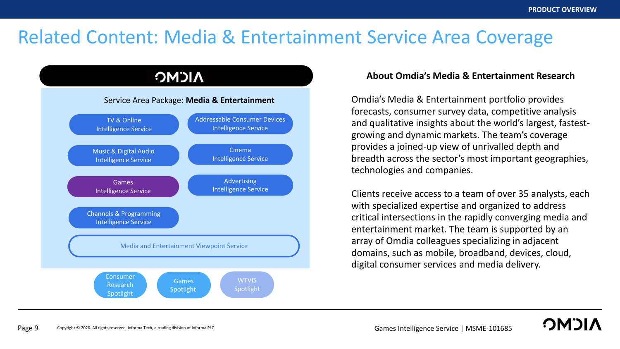**OMOL** 

## Related Content: Media & Entertainment Service Area Coverage

#### **NICMC** Service Area Package: **Media & Entertainment** Addressable Consumer Devices TV & Online Intelligence Service Intelligence Service Cinema Music & Digital Audio Intelligence Service Intelligence Service Advertising Games Intelligence Service Intelligence Service Channels & Programming Intelligence Service Media and Entertainment Viewpoint Service Consumer **WTVIS** Games Research Spotlight Spotlight Spotlight

#### **About Omdia's Media & Entertainment Research**

Omdia's Media & Entertainment portfolio provides forecasts, consumer survey data, competitive analysis and qualitative insights about the world's largest, fastestgrowing and dynamic markets. The team's coverage provides a joined-up view of unrivalled depth and breadth across the sector's most important geographies, technologies and companies.

Clients receive access to a team of over 35 analysts, each with specialized expertise and organized to address critical intersections in the rapidly converging media and entertainment market. The team is supported by an array of Omdia colleagues specializing in adjacent domains, such as mobile, broadband, devices, cloud, digital consumer services and media delivery.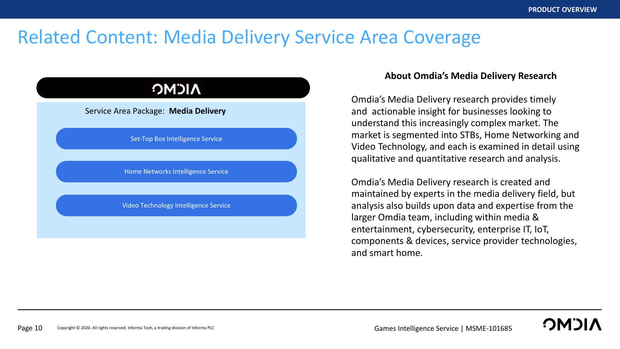### Related Content: Media Delivery Service Area Coverage

### **NICMC**

#### Service Area Package: **Media Delivery**

Set-Top Box Intelligence Service

Home Networks Intelligence Service

Video Technology Intelligence Service

#### **About Omdia's Media Delivery Research**

Omdia's Media Delivery research provides timely and actionable insight for businesses looking to understand this increasingly complex market. The market is segmented into STBs, Home Networking and Video Technology, and each is examined in detail using qualitative and quantitative research and analysis.

Omdia's Media Delivery research is created and maintained by experts in the media delivery field, but analysis also builds upon data and expertise from the larger Omdia team, including within media & entertainment, cybersecurity, enterprise IT, IoT, components & devices, service provider technologies, and smart home.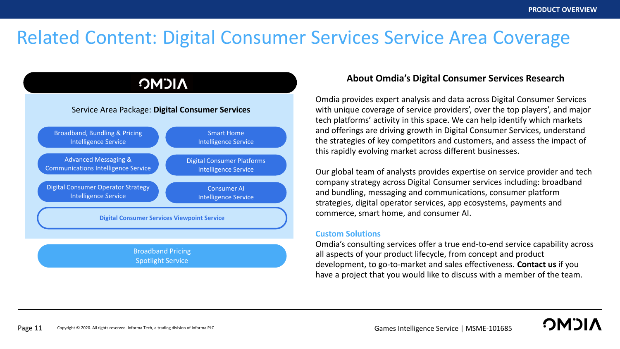**CMC** 

### Related Content: Digital Consumer Services Service Area Coverage

### **NICMC**

#### Service Area Package: **Digital Consumer Services**



#### **About Omdia's Digital Consumer Services Research**

Omdia provides expert analysis and data across Digital Consumer Services with unique coverage of service providers', over the top players', and major tech platforms' activity in this space. We can help identify which markets and offerings are driving growth in Digital Consumer Services, understand the strategies of key competitors and customers, and assess the impact of this rapidly evolving market across different businesses.

Our global team of analysts provides expertise on service provider and tech company strategy across Digital Consumer services including: broadband and bundling, messaging and communications, consumer platform strategies, digital operator services, app ecosystems, payments and commerce, smart home, and consumer AI.

#### **Custom Solutions**

Omdia's consulting services offer a true end-to-end service capability across all aspects of your product lifecycle, from concept and product development, to go-to-market and sales effectiveness. **Contact us** if you have a project that you would like to discuss with a member of the team.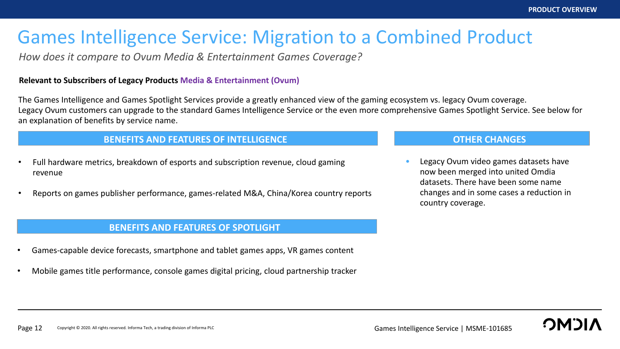## Games Intelligence Service: Migration to a Combined Product

*How does it compare to Ovum Media & Entertainment Games Coverage?* 

#### **Relevant to Subscribers of Legacy Products Media & Entertainment (Ovum)**

The Games Intelligence and Games Spotlight Services provide a greatly enhanced view of the gaming ecosystem vs. legacy Ovum coverage. Legacy Ovum customers can upgrade to the standard Games Intelligence Service or the even more comprehensive Games Spotlight Service. See below for an explanation of benefits by service name.

#### **BENEFITS AND FEATURES OF INTELLIGENCE**

- Full hardware metrics, breakdown of esports and subscription revenue, cloud gaming revenue
- Reports on games publisher performance, games-related M&A, China/Korea country reports

#### **BENEFITS AND FEATURES OF SPOTLIGHT**

- Games-capable device forecasts, smartphone and tablet games apps, VR games content
- Mobile games title performance, console games digital pricing, cloud partnership tracker

#### **OTHER CHANGES**

• Legacy Ovum video games datasets have now been merged into united Omdia datasets. There have been some name changes and in some cases a reduction in country coverage.

**BENEFITS AND FEATURES OF INTELLIGENCE**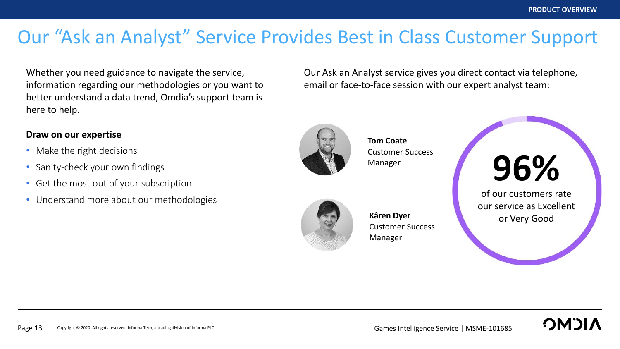## Our "Ask an Analyst" Service Provides Best in Class Customer Support

Whether you need guidance to navigate the service, information regarding our methodologies or you want to better understand a data trend, Omdia's support team is here to help.

### **Draw on our expertise**

- Make the right decisions
- Sanity-check your own findings
- Get the most out of your subscription
- Understand more about our methodologies

Our Ask an Analyst service gives you direct contact via telephone, email or face-to-face session with our expert analyst team:



**Tom Coate** Customer Success Manager



**Kâren Dyer** Customer Success Manager



of our customers rate our service as Excellent or Very Good

**OMOL**